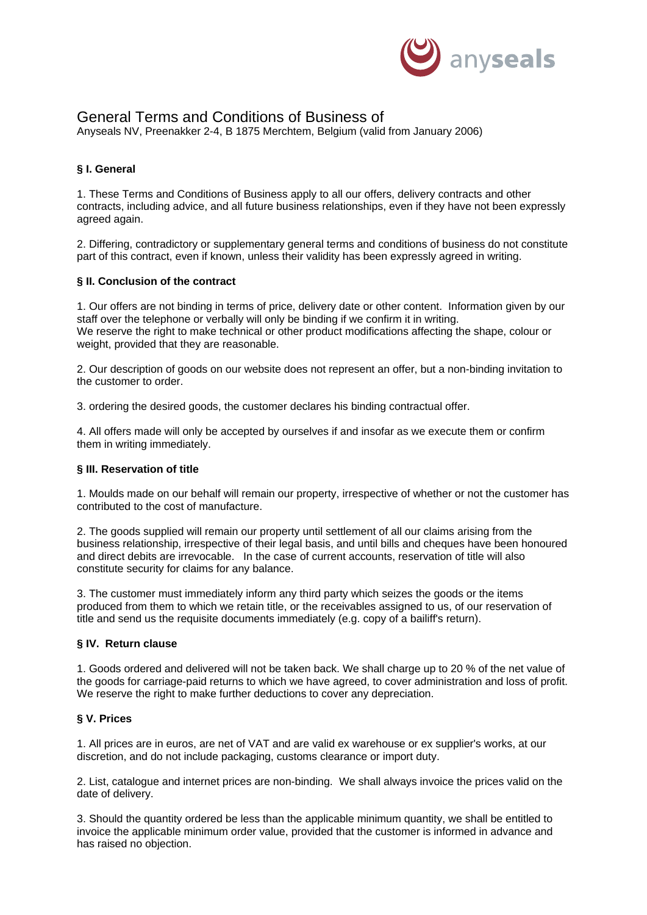

# General Terms and Conditions of Business of

Anyseals NV, Preenakker 2-4, B 1875 Merchtem, Belgium (valid from January 2006)

## **§ I. General**

1. These Terms and Conditions of Business apply to all our offers, delivery contracts and other contracts, including advice, and all future business relationships, even if they have not been expressly agreed again.

2. Differing, contradictory or supplementary general terms and conditions of business do not constitute part of this contract, even if known, unless their validity has been expressly agreed in writing.

## **§ II. Conclusion of the contract**

1. Our offers are not binding in terms of price, delivery date or other content. Information given by our staff over the telephone or verbally will only be binding if we confirm it in writing. We reserve the right to make technical or other product modifications affecting the shape, colour or weight, provided that they are reasonable.

2. Our description of goods on our website does not represent an offer, but a non-binding invitation to the customer to order.

3. ordering the desired goods, the customer declares his binding contractual offer.

4. All offers made will only be accepted by ourselves if and insofar as we execute them or confirm them in writing immediately.

#### **§ III. Reservation of title**

1. Moulds made on our behalf will remain our property, irrespective of whether or not the customer has contributed to the cost of manufacture.

2. The goods supplied will remain our property until settlement of all our claims arising from the business relationship, irrespective of their legal basis, and until bills and cheques have been honoured and direct debits are irrevocable. In the case of current accounts, reservation of title will also constitute security for claims for any balance.

3. The customer must immediately inform any third party which seizes the goods or the items produced from them to which we retain title, or the receivables assigned to us, of our reservation of title and send us the requisite documents immediately (e.g. copy of a bailiff's return).

## **§ IV. Return clause**

1. Goods ordered and delivered will not be taken back. We shall charge up to 20 % of the net value of the goods for carriage-paid returns to which we have agreed, to cover administration and loss of profit. We reserve the right to make further deductions to cover any depreciation.

## **§ V. Prices**

1. All prices are in euros, are net of VAT and are valid ex warehouse or ex supplier's works, at our discretion, and do not include packaging, customs clearance or import duty.

2. List, catalogue and internet prices are non-binding. We shall always invoice the prices valid on the date of delivery.

3. Should the quantity ordered be less than the applicable minimum quantity, we shall be entitled to invoice the applicable minimum order value, provided that the customer is informed in advance and has raised no objection.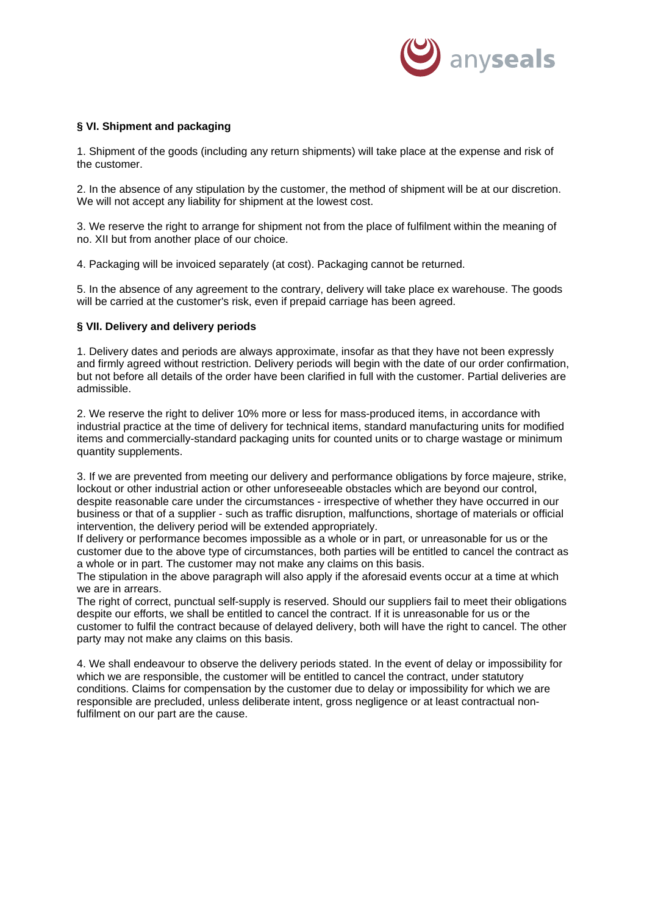

## **§ VI. Shipment and packaging**

1. Shipment of the goods (including any return shipments) will take place at the expense and risk of the customer.

2. In the absence of any stipulation by the customer, the method of shipment will be at our discretion. We will not accept any liability for shipment at the lowest cost.

3. We reserve the right to arrange for shipment not from the place of fulfilment within the meaning of no. XII but from another place of our choice.

4. Packaging will be invoiced separately (at cost). Packaging cannot be returned.

5. In the absence of any agreement to the contrary, delivery will take place ex warehouse. The goods will be carried at the customer's risk, even if prepaid carriage has been agreed.

#### **§ VII. Delivery and delivery periods**

1. Delivery dates and periods are always approximate, insofar as that they have not been expressly and firmly agreed without restriction. Delivery periods will begin with the date of our order confirmation, but not before all details of the order have been clarified in full with the customer. Partial deliveries are admissible.

2. We reserve the right to deliver 10% more or less for mass-produced items, in accordance with industrial practice at the time of delivery for technical items, standard manufacturing units for modified items and commercially-standard packaging units for counted units or to charge wastage or minimum quantity supplements.

3. If we are prevented from meeting our delivery and performance obligations by force majeure, strike, lockout or other industrial action or other unforeseeable obstacles which are beyond our control, despite reasonable care under the circumstances - irrespective of whether they have occurred in our business or that of a supplier - such as traffic disruption, malfunctions, shortage of materials or official intervention, the delivery period will be extended appropriately.

If delivery or performance becomes impossible as a whole or in part, or unreasonable for us or the customer due to the above type of circumstances, both parties will be entitled to cancel the contract as a whole or in part. The customer may not make any claims on this basis.

The stipulation in the above paragraph will also apply if the aforesaid events occur at a time at which we are in arrears.

The right of correct, punctual self-supply is reserved. Should our suppliers fail to meet their obligations despite our efforts, we shall be entitled to cancel the contract. If it is unreasonable for us or the customer to fulfil the contract because of delayed delivery, both will have the right to cancel. The other party may not make any claims on this basis.

4. We shall endeavour to observe the delivery periods stated. In the event of delay or impossibility for which we are responsible, the customer will be entitled to cancel the contract, under statutory conditions. Claims for compensation by the customer due to delay or impossibility for which we are responsible are precluded, unless deliberate intent, gross negligence or at least contractual nonfulfilment on our part are the cause.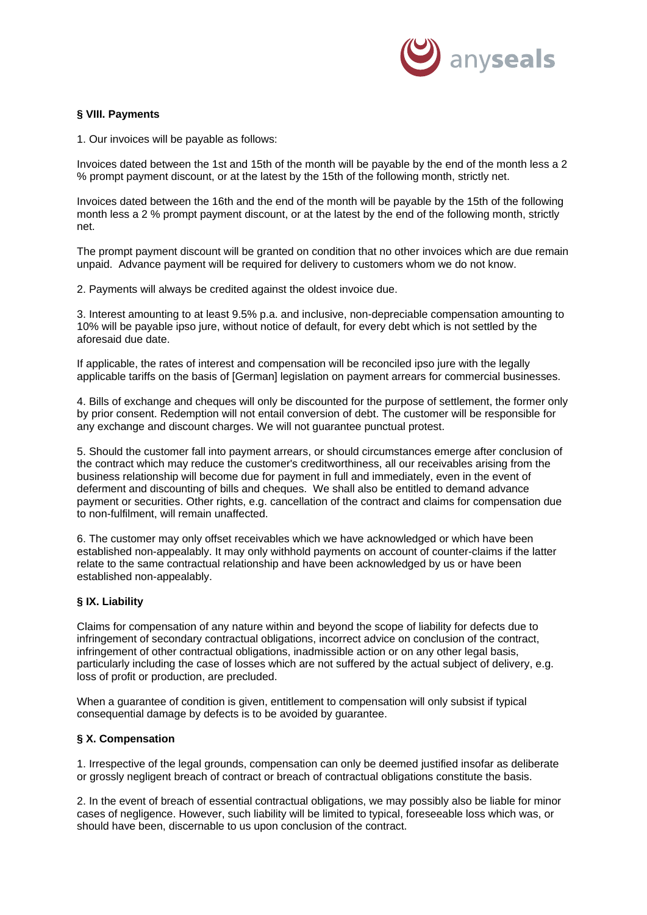

## **§ VIII. Payments**

1. Our invoices will be payable as follows:

Invoices dated between the 1st and 15th of the month will be payable by the end of the month less a 2 % prompt payment discount, or at the latest by the 15th of the following month, strictly net.

Invoices dated between the 16th and the end of the month will be payable by the 15th of the following month less a 2 % prompt payment discount, or at the latest by the end of the following month, strictly net.

The prompt payment discount will be granted on condition that no other invoices which are due remain unpaid. Advance payment will be required for delivery to customers whom we do not know.

2. Payments will always be credited against the oldest invoice due.

3. Interest amounting to at least 9.5% p.a. and inclusive, non-depreciable compensation amounting to 10% will be payable ipso jure, without notice of default, for every debt which is not settled by the aforesaid due date.

If applicable, the rates of interest and compensation will be reconciled ipso jure with the legally applicable tariffs on the basis of [German] legislation on payment arrears for commercial businesses.

4. Bills of exchange and cheques will only be discounted for the purpose of settlement, the former only by prior consent. Redemption will not entail conversion of debt. The customer will be responsible for any exchange and discount charges. We will not guarantee punctual protest.

5. Should the customer fall into payment arrears, or should circumstances emerge after conclusion of the contract which may reduce the customer's creditworthiness, all our receivables arising from the business relationship will become due for payment in full and immediately, even in the event of deferment and discounting of bills and cheques. We shall also be entitled to demand advance payment or securities. Other rights, e.g. cancellation of the contract and claims for compensation due to non-fulfilment, will remain unaffected.

6. The customer may only offset receivables which we have acknowledged or which have been established non-appealably. It may only withhold payments on account of counter-claims if the latter relate to the same contractual relationship and have been acknowledged by us or have been established non-appealably.

## **§ IX. Liability**

Claims for compensation of any nature within and beyond the scope of liability for defects due to infringement of secondary contractual obligations, incorrect advice on conclusion of the contract, infringement of other contractual obligations, inadmissible action or on any other legal basis, particularly including the case of losses which are not suffered by the actual subject of delivery, e.g. loss of profit or production, are precluded.

When a guarantee of condition is given, entitlement to compensation will only subsist if typical consequential damage by defects is to be avoided by guarantee.

#### **§ X. Compensation**

1. Irrespective of the legal grounds, compensation can only be deemed justified insofar as deliberate or grossly negligent breach of contract or breach of contractual obligations constitute the basis.

2. In the event of breach of essential contractual obligations, we may possibly also be liable for minor cases of negligence. However, such liability will be limited to typical, foreseeable loss which was, or should have been, discernable to us upon conclusion of the contract.